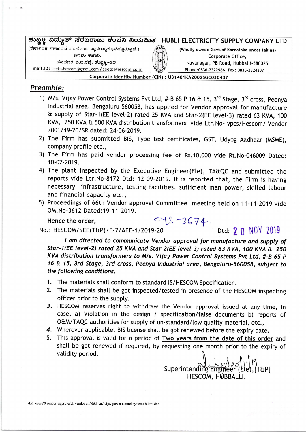## ಹುಬ್ಬಳ್ಳ ವಿದ್ಯುತ್ ಸರಬರಾಜು ಕಂಪನಿ ನಿಯಮಿತ (ಕರ್ನಾಟಕ ಸರ್ಕಾರದ ಸಂಪೂರ್ಣ ಸ್ವಾಮಿಪ್ಗಕ್ಕೊಳಪ್ಪೂರುತ್ತದೆ.) ನಿಗಮ ಕಚೇರಿ. ನವನಗರ ಪಿ.ಜ.ರಸ್ತೆ, ಹುಬ್ಬಳ್ಳ-25<br>mail.lD: <u>seetp.hescom@gmail.com / seetp@hescom.co.in</u> HUBLI ELECTRICITY SUPPLY COMPANY LTD (Wholly owned Govt.of Karnataka under taklng) Corporate Office, Navanagar, PB Road, Hubballi-580025 Phone: 0836-2322966, Fax: 0836-2324307

Corporate Identity Number (CIN) : U31401KA2002SGC030437

## Preamble:

- 1) M/s. Vijay Power Control Systems Pvt Ltd,  $#B$  65 P 16 & 15, 3<sup>rd</sup> Stage, 3<sup>rd</sup> cross, Peenya lndustrial area, Bengaturu-560058, has apptied for Vendor approval for manufacture & suppty of Star'1(EE tevet-2) rated 25 KVA and Star-2(EE tevet-3) rated 63 KVA, 1OO KVA, 250 KVA & 500 KVA distribution transformers vide Ltr.No- vpcs/Hescom/ Vendor 1001 119-20/SR dated: 24-06-2019.
- 2) The Firm has submitted BlS, Type test certificates, GST, Udyog Aadhaar (MSME), company profite etc.,
- 3) The Firm has paid vendor processing fee of Rs,10,000 vide Rt.No-046009 Dated: 10-07-2019.
- 4) The plant inspected by the Executive Engineer(Ele), TA&QC and submitted the reports vide Ltr.N0-8172 Dtd: 12-09-2019. !t is reported that, the Firm is having necessary infrastructure, testing facilities, sufficient man power, skilled labour and financial capacity etc.,
- 5) Proceedings of 66th Vendor approvat Committee meeting hetd on 11-11-2019 vide OM.No-3612 Dated: 19-11-2019. Hence the order,  $C\setminus S$  -3674.

No.: HESCOM/SEE(T&P)/E-7/AEE-1/2019-20 Dtd:  $\gamma$  n NOV 2019

I am directed to communicate Vendor approval for manufacture and supply of Star-1(EE level-2) rated 25 KVA and Star-2(EE level-3) rated 63 KVA, 100 KVA & 250 KVA distribution transformers to M/s. Vijay Power Control Systems Pvt Ltd, #-B 65 P 16 & 15, 3rd Stage, 3rd cross, Peenya Industrial area, Bengaluru-560058, subject to the following conditions.

- 1. The materials shall conform to standard IS/HESCOM Specification.
- 2. The materiats shalt be got inspected/tested in presence of the HESCOM inspecting officer prior to the supply.
- 3. HESCOM reserves right to withdraw the Vendor approvat issued at any time, in case, a) Violation in the design / specification/false documents b) reports of O&M/TAQC authorities for supply of un-standard/low quality material, etc.,
- 4. Wherever applicable, BIS license shall be got renewed before the expiry date.
- 5. This approval is vatid for a period of Two vears from the date of this order and shatt be got renewed if required, by requesting one month prior to the expiry of validity period.

Superintending  $\overline{\text{Engi}}$   $\overline{\text{heer}}$  ( $\overline{\text{Ele}}$ ),  $\overline{\text{TRPI}}$ HESCOM, HUBBALLI.

d:\1. eeeee\9.vendor approval\1. vendor om\66th vac\vijay power control systems b,luru.doc